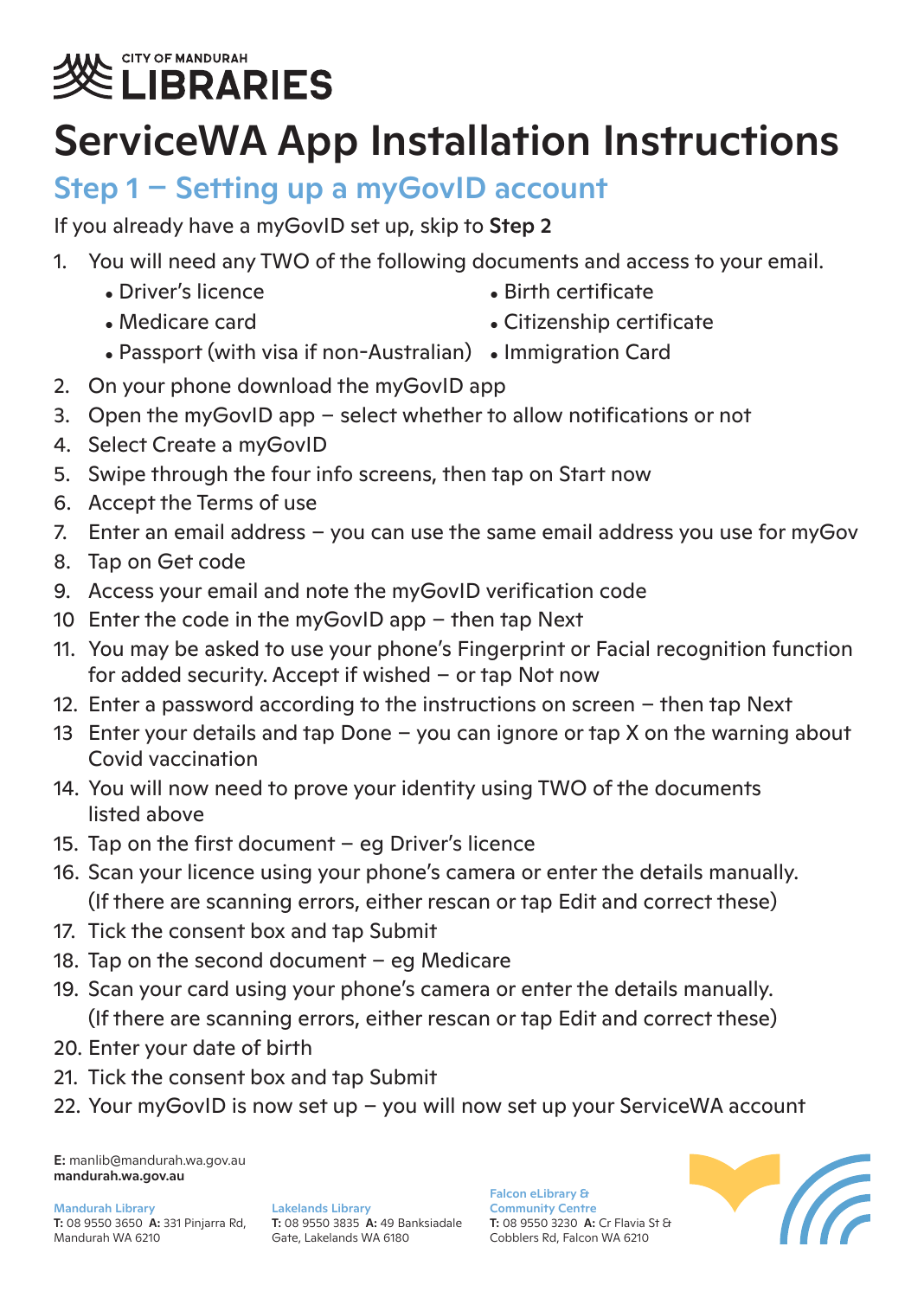#### **CITY OF MANDURAH IBRARIES**

# ServiceWA App Installation Instructions

### Step 1 – Setting up a myGovID account

If you already have a myGovID set up, skip to Step 2

- 1. You will need any TWO of the following documents and access to your email.
	- Driver's licence and Birth certificate
	-
- 
- Medicare card **and Citizenship certificate**
- Passport (with visa if non-Australian) Immigration Card
- 2. On your phone download the myGovID app
- 3. Open the myGovID app select whether to allow notifications or not
- 4. Select Create a myGovID
- 5. Swipe through the four info screens, then tap on Start now
- 6. Accept the Terms of use
- 7. Enter an email address you can use the same email address you use for myGov
- 8. Tap on Get code
- 9. Access your email and note the myGovID verification code
- 10 Enter the code in the myGovID app then tap Next
- 11. You may be asked to use your phone's Fingerprint or Facial recognition function for added security. Accept if wished – or tap Not now
- 12. Enter a password according to the instructions on screen then tap Next
- 13 Enter your details and tap Done  $-$  you can ignore or tap X on the warning about Covid vaccination
- 14. You will now need to prove your identity using TWO of the documents listed above
- 15. Tap on the first document eg Driver's licence
- 16. Scan your licence using your phone's camera or enter the details manually. (If there are scanning errors, either rescan or tap Edit and correct these)
- 17. Tick the consent box and tap Submit
- 18. Tap on the second document eg Medicare
- 19. Scan your card using your phone's camera or enter the details manually. (If there are scanning errors, either rescan or tap Edit and correct these)
- 20. Enter your date of birth
- 21. Tick the consent box and tap Submit
- 22. Your myGovID is now set up you will now set up your ServiceWA account

E: manlib@mandurah.wa.gov.au mandurah.wa.gov.au

Mandurah Library T: 08 9550 3650 A: 331 Pinjarra Rd, Mandurah WA 6210

Lakelands Library T: 08 9550 3835 A: 49 Banksiadale Gate, Lakelands WA 6180

Falcon eLibrary & Community Centre T: 08 9550 3230 A: Cr Flavia St & Cobblers Rd, Falcon WA 6210

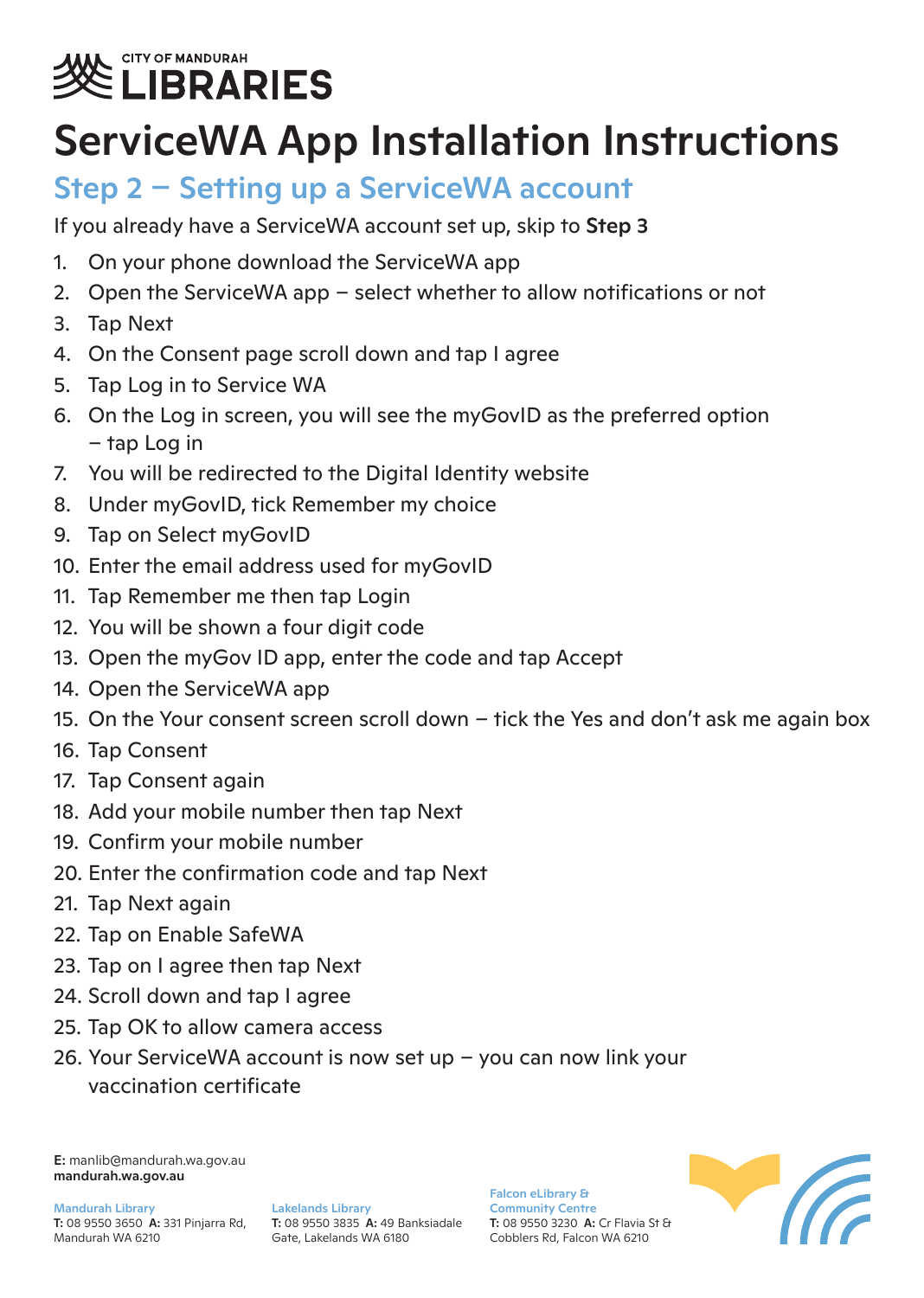#### **CITY OF MANDURAH IBRARIES**

# ServiceWA App Installation Instructions

### Step 2 – Setting up a ServiceWA account

If you already have a ServiceWA account set up, skip to Step 3

- 1. On your phone download the ServiceWA app
- 2. Open the ServiceWA app select whether to allow notifications or not
- 3. Tap Next
- 4. On the Consent page scroll down and tap I agree
- 5. Tap Log in to Service WA
- 6. On the Log in screen, you will see the myGovID as the preferred option – tap Log in
- 7. You will be redirected to the Digital Identity website
- 8. Under myGovID, tick Remember my choice
- 9. Tap on Select myGovID
- 10. Enter the email address used for myGovID
- 11. Tap Remember me then tap Login
- 12. You will be shown a four digit code
- 13. Open the myGov ID app, enter the code and tap Accept
- 14. Open the ServiceWA app
- 15. On the Your consent screen scroll down tick the Yes and don't ask me again box
- 16. Tap Consent
- 17. Tap Consent again
- 18. Add your mobile number then tap Next
- 19. Confirm your mobile number
- 20. Enter the confirmation code and tap Next
- 21. Tap Next again
- 22. Tap on Enable SafeWA
- 23. Tap on I agree then tap Next
- 24. Scroll down and tap I agree
- 25. Tap OK to allow camera access
- 26. Your ServiceWA account is now set up you can now link your vaccination certificate

E: manlib@mandurah.wa.gov.au mandurah.wa.gov.au

Mandurah Library T: 08 9550 3650 A: 331 Pinjarra Rd, Mandurah WA 6210

Lakelands Library T: 08 9550 3835 A: 49 Banksiadale Gate, Lakelands WA 6180

Falcon eLibrary & **Community Centre** T: 08 9550 3230 A: Cr Flavia St & Cobblers Rd, Falcon WA 6210